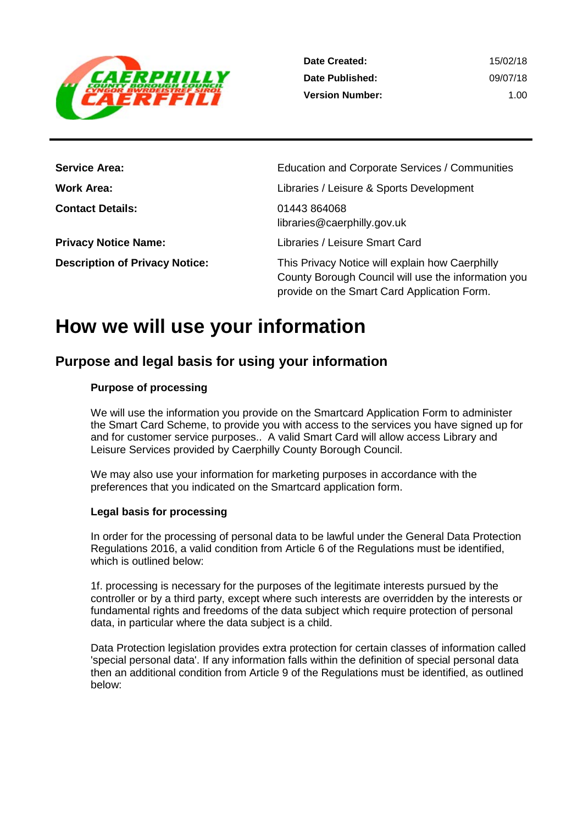

1.00

| <b>Service Area:</b>                  | Education and Corporate Services / Communities                                                                                                        |
|---------------------------------------|-------------------------------------------------------------------------------------------------------------------------------------------------------|
| <b>Work Area:</b>                     | Libraries / Leisure & Sports Development                                                                                                              |
| <b>Contact Details:</b>               | 01443 864068<br>libraries@caerphilly.gov.uk                                                                                                           |
| <b>Privacy Notice Name:</b>           | Libraries / Leisure Smart Card                                                                                                                        |
| <b>Description of Privacy Notice:</b> | This Privacy Notice will explain how Caerphilly<br>County Borough Council will use the information you<br>provide on the Smart Card Application Form. |

# **How we will use your information**

### **Purpose and legal basis for using your information**

#### **Purpose of processing**

We will use the information you provide on the Smartcard Application Form to administer the Smart Card Scheme, to provide you with access to the services you have signed up for and for customer service purposes.. A valid Smart Card will allow access Library and Leisure Services provided by Caerphilly County Borough Council.

We may also use your information for marketing purposes in accordance with the preferences that you indicated on the Smartcard application form.

#### **Legal basis for processing**

In order for the processing of personal data to be lawful under the General Data Protection Regulations 2016, a valid condition from Article 6 of the Regulations must be identified, which is outlined below:

1f. processing is necessary for the purposes of the legitimate interests pursued by the controller or by a third party, except where such interests are overridden by the interests or fundamental rights and freedoms of the data subject which require protection of personal data, in particular where the data subject is a child.

Data Protection legislation provides extra protection for certain classes of information called 'special personal data'. If any information falls within the definition of special personal data then an additional condition from Article 9 of the Regulations must be identified, as outlined below: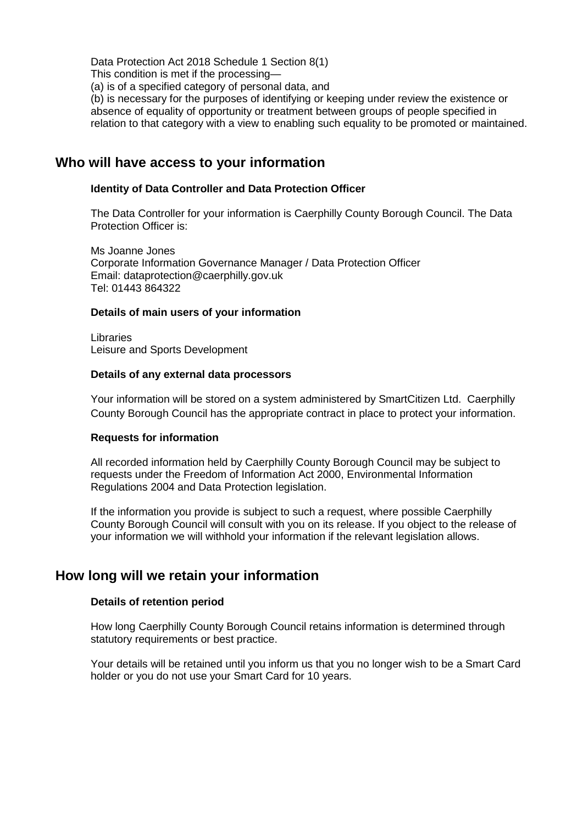Data Protection Act 2018 Schedule 1 Section 8(1)

This condition is met if the processing—

(a) is of a specified category of personal data, and

(b) is necessary for the purposes of identifying or keeping under review the existence or absence of equality of opportunity or treatment between groups of people specified in relation to that category with a view to enabling such equality to be promoted or maintained.

### **Who will have access to your information**

#### **Identity of Data Controller and Data Protection Officer**

The Data Controller for your information is Caerphilly County Borough Council. The Data Protection Officer is:

Ms Joanne Jones Corporate Information Governance Manager / Data Protection Officer Email: dataprotection@caerphilly.gov.uk Tel: 01443 864322

#### **Details of main users of your information**

Libraries Leisure and Sports Development

#### **Details of any external data processors**

Your information will be stored on a system administered by SmartCitizen Ltd. Caerphilly County Borough Council has the appropriate contract in place to protect your information.

#### **Requests for information**

All recorded information held by Caerphilly County Borough Council may be subject to requests under the Freedom of Information Act 2000, Environmental Information Regulations 2004 and Data Protection legislation.

If the information you provide is subject to such a request, where possible Caerphilly County Borough Council will consult with you on its release. If you object to the release of your information we will withhold your information if the relevant legislation allows.

### **How long will we retain your information**

#### **Details of retention period**

How long Caerphilly County Borough Council retains information is determined through statutory requirements or best practice.

Your details will be retained until you inform us that you no longer wish to be a Smart Card holder or you do not use your Smart Card for 10 years.